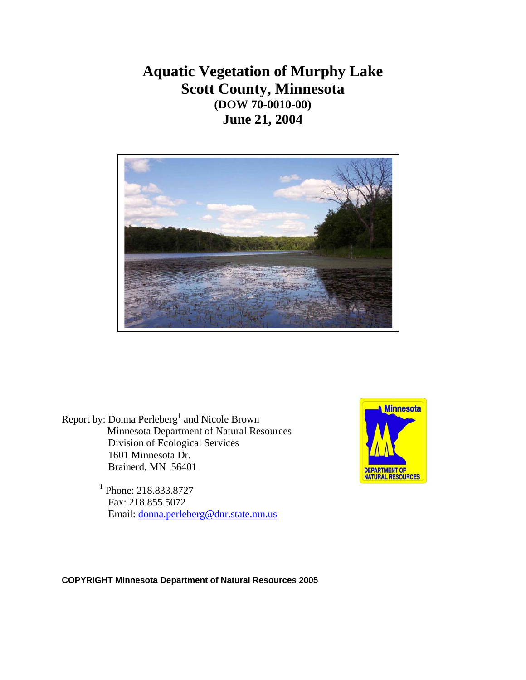# **Aquatic Vegetation of Murphy Lake Scott County, Minnesota (DOW 70-0010-00) June 21, 2004**



Report by: Donna Perleberg<sup>1</sup> and Nicole Brown<br>Minnesota Department of Natural Resources Division of Ecological Services 1601 Minnesota Dr. Brainerd, MN 56401

**Minnesota DEPARTMENT OF NATURAL RESOURCES** 

<sup>1</sup> Phone: 218.833.8727 Fax: 218.855.5072 Email: [donna.perleberg@dnr.state.mn.us](mailto:donna.perleberg@dnr.state.mn.us)

**COPYRIGHT Minnesota Department of Natural Resources 2005**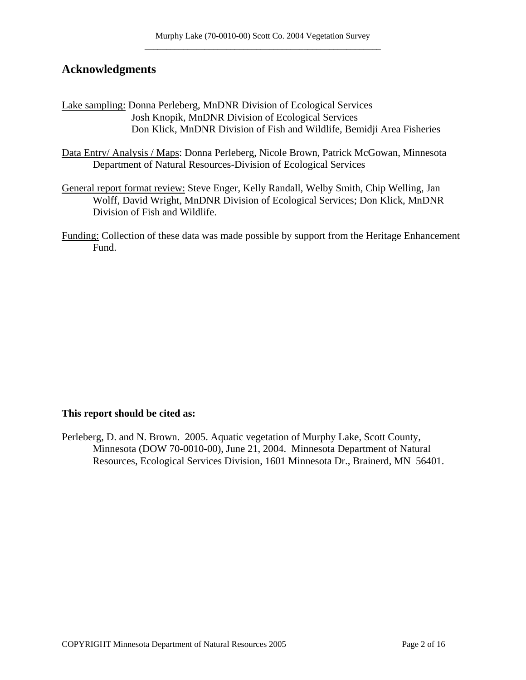### **Acknowledgments**

Lake sampling: Donna Perleberg, MnDNR Division of Ecological Services Josh Knopik, MnDNR Division of Ecological Services Don Klick, MnDNR Division of Fish and Wildlife, Bemidji Area Fisheries

Data Entry/ Analysis / Maps: Donna Perleberg, Nicole Brown, Patrick McGowan, Minnesota Department of Natural Resources-Division of Ecological Services

- General report format review: Steve Enger, Kelly Randall, Welby Smith, Chip Welling, Jan Wolff, David Wright, MnDNR Division of Ecological Services; Don Klick, MnDNR Division of Fish and Wildlife.
- Funding: Collection of these data was made possible by support from the Heritage Enhancement Fund.

#### **This report should be cited as:**

Perleberg, D. and N. Brown. 2005. Aquatic vegetation of Murphy Lake, Scott County, Minnesota (DOW 70-0010-00), June 21, 2004. Minnesota Department of Natural Resources, Ecological Services Division, 1601 Minnesota Dr., Brainerd, MN 56401.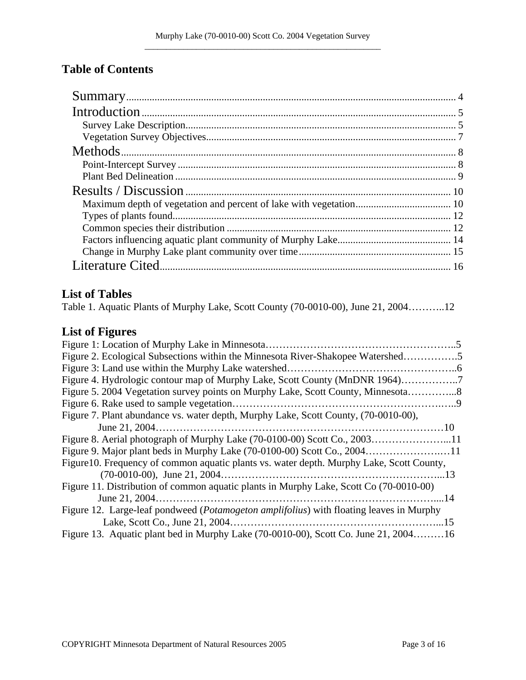## **Table of Contents**

### **List of Tables**

| Table 1. Aquatic Plants of Murphy Lake, Scott County (70-0010-00), June 21, 200412 |  |  |  |  |  |  |  |  |
|------------------------------------------------------------------------------------|--|--|--|--|--|--|--|--|
|------------------------------------------------------------------------------------|--|--|--|--|--|--|--|--|

# **List of Figures**

| Figure 2. Ecological Subsections within the Minnesota River-Shakopee Watershed5                  |  |
|--------------------------------------------------------------------------------------------------|--|
|                                                                                                  |  |
|                                                                                                  |  |
| Figure 5. 2004 Vegetation survey points on Murphy Lake, Scott County, Minnesota                  |  |
|                                                                                                  |  |
| Figure 7. Plant abundance vs. water depth, Murphy Lake, Scott County, (70-0010-00),              |  |
|                                                                                                  |  |
| Figure 8. Aerial photograph of Murphy Lake (70-0100-00) Scott Co., 200311                        |  |
| Figure 9. Major plant beds in Murphy Lake (70-0100-00) Scott Co., 200411                         |  |
| Figure 10. Frequency of common aquatic plants vs. water depth. Murphy Lake, Scott County,        |  |
|                                                                                                  |  |
| Figure 11. Distribution of common aquatic plants in Murphy Lake, Scott Co (70-0010-00)           |  |
|                                                                                                  |  |
| Figure 12. Large-leaf pondweed ( <i>Potamogeton amplifolius</i> ) with floating leaves in Murphy |  |
|                                                                                                  |  |
| Figure 13. Aquatic plant bed in Murphy Lake (70-0010-00), Scott Co. June 21, 200416              |  |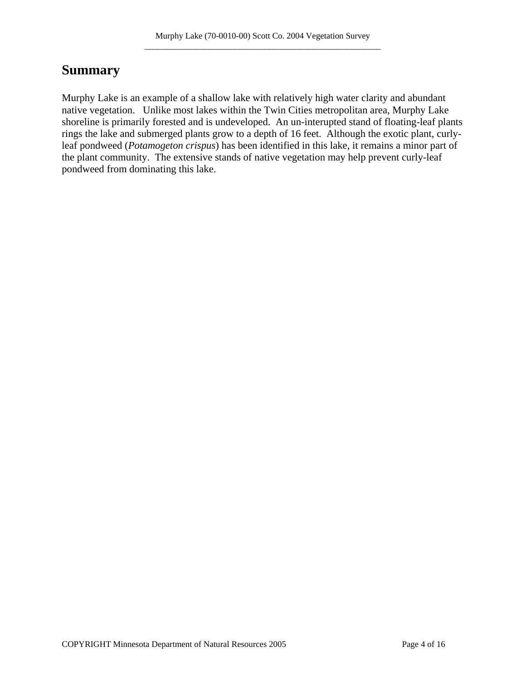# **Summary**

Murphy Lake is an example of a shallow lake with relatively high water clarity and abundant native vegetation. Unlike most lakes within the Twin Cities metropolitan area, Murphy Lake shoreline is primarily forested and is undeveloped. An un-interupted stand of floating-leaf plants rings the lake and submerged plants grow to a depth of 16 feet. Although the exotic plant, curlyleaf pondweed (*Potamogeton crispus*) has been identified in this lake, it remains a minor part of the plant community. The extensive stands of native vegetation may help prevent curly-leaf pondweed from dominating this lake.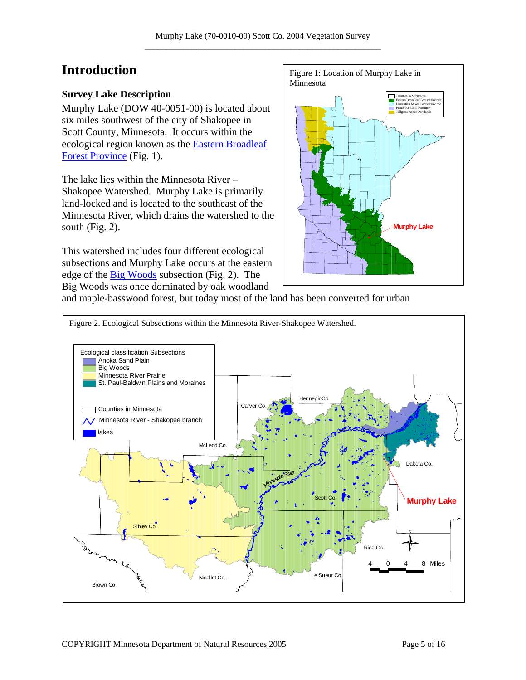# **Introduction**

#### **Survey Lake Description**

Murphy Lake (DOW 40-0051-00) is located about six miles southwest of the city of Shakopee in Scott County, Minnesota. It occurs within the ecological region known as the [Eastern Broadleaf](http://www.dnr.state.mn.us/ecs/index.html)  [Forest Province](http://www.dnr.state.mn.us/ecs/index.html) (Fig. 1).

The lake lies within the Minnesota River – Shakopee Watershed. Murphy Lake is primarily land-locked and is located to the southeast of the Minnesota River, which drains the watershed to the south (Fig. 2).

This watershed includes four different ecological subsections and Murphy Lake occurs at the eastern edge of the [Big Woods](http://www.dnr.state.mn.us/ecs/broadleaf/ecs_r.html) subsection (Fig. 2). The Big Woods was once dominated by oak woodland



and maple-basswood forest, but today most of the land has been converted for urban

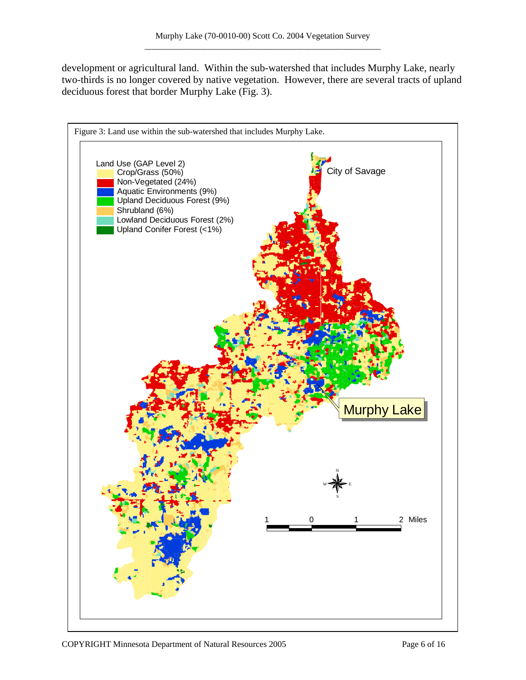development or agricultural land. Within the sub-watershed that includes Murphy Lake, nearly two-thirds is no longer covered by native vegetation. However, there are several tracts of upland deciduous forest that border Murphy Lake (Fig. 3).

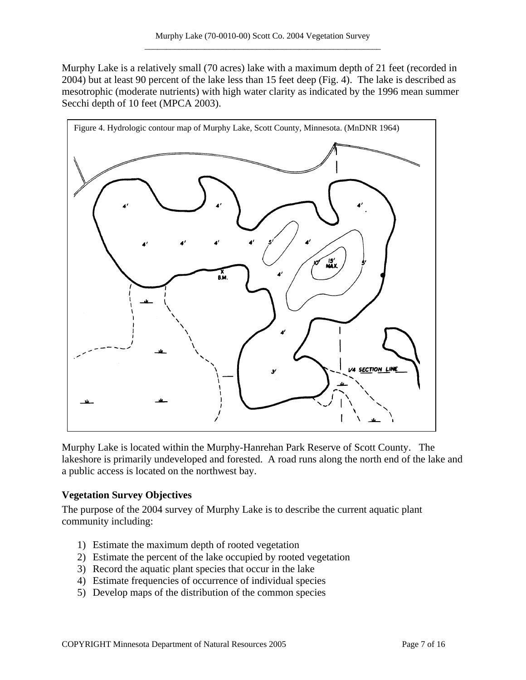Murphy Lake is a relatively small (70 acres) lake with a maximum depth of 21 feet (recorded in 2004) but at least 90 percent of the lake less than 15 feet deep (Fig. 4). The lake is described as mesotrophic (moderate nutrients) with high water clarity as indicated by the 1996 mean summer Secchi depth of 10 feet (MPCA 2003).



Murphy Lake is located within the Murphy-Hanrehan Park Reserve of Scott County. The lakeshore is primarily undeveloped and forested. A road runs along the north end of the lake and a public access is located on the northwest bay.

### **Vegetation Survey Objectives**

The purpose of the 2004 survey of Murphy Lake is to describe the current aquatic plant community including:

- 1) Estimate the maximum depth of rooted vegetation
- 2) Estimate the percent of the lake occupied by rooted vegetation
- 3) Record the aquatic plant species that occur in the lake
- 4) Estimate frequencies of occurrence of individual species
- 5) Develop maps of the distribution of the common species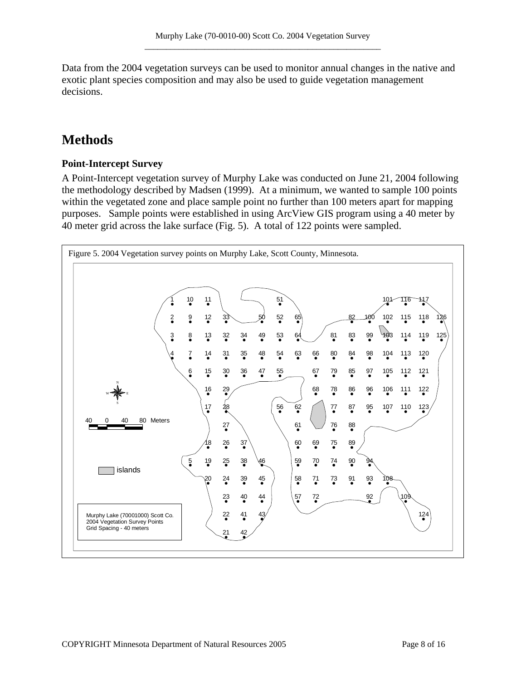Data from the 2004 vegetation surveys can be used to monitor annual changes in the native and exotic plant species composition and may also be used to guide vegetation management decisions.

# **Methods**

### **Point-Intercept Survey**

A Point-Intercept vegetation survey of Murphy Lake was conducted on June 21, 2004 following the methodology described by Madsen (1999). At a minimum, we wanted to sample 100 points within the vegetated zone and place sample point no further than 100 meters apart for mapping purposes. Sample points were established in using ArcView GIS program using a 40 meter by 40 meter grid across the lake surface (Fig. 5). A total of 122 points were sampled.

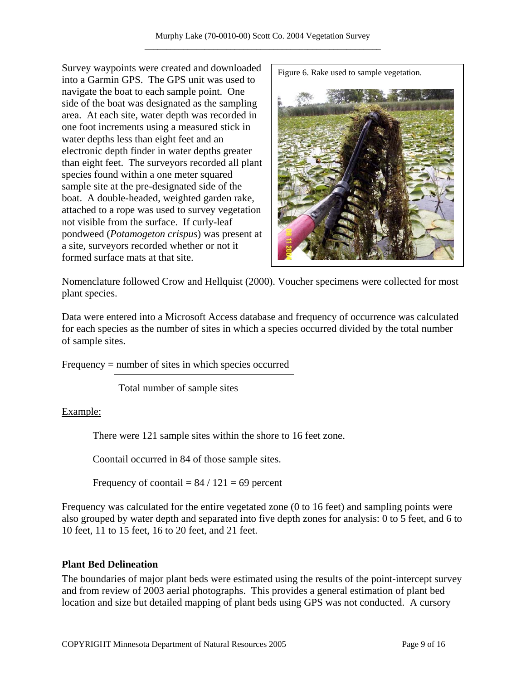Survey waypoints were created and downloaded into a Garmin GPS. The GPS unit was used to navigate the boat to each sample point. One side of the boat was designated as the sampling area. At each site, water depth was recorded in one foot increments using a measured stick in water depths less than eight feet and an electronic depth finder in water depths greater than eight feet. The surveyors recorded all plant species found within a one meter squared sample site at the pre-designated side of the boat. A double-headed, weighted garden rake, attached to a rope was used to survey vegetation not visible from the surface. If curly-leaf pondweed (*Potamogeton crispus*) was present at a site, surveyors recorded whether or not it formed surface mats at that site.

Figure 6. Rake used to sample vegetation.



Nomenclature followed Crow and Hellquist (2000). Voucher specimens were collected for most plant species.

Data were entered into a Microsoft Access database and frequency of occurrence was calculated for each species as the number of sites in which a species occurred divided by the total number of sample sites.

Frequency = number of sites in which species occurred

Total number of sample sites

Example:

There were 121 sample sites within the shore to 16 feet zone.

Coontail occurred in 84 of those sample sites.

Frequency of coontail =  $84 / 121 = 69$  percent

Frequency was calculated for the entire vegetated zone (0 to 16 feet) and sampling points were also grouped by water depth and separated into five depth zones for analysis: 0 to 5 feet, and 6 to 10 feet, 11 to 15 feet, 16 to 20 feet, and 21 feet.

### **Plant Bed Delineation**

The boundaries of major plant beds were estimated using the results of the point-intercept survey and from review of 2003 aerial photographs. This provides a general estimation of plant bed location and size but detailed mapping of plant beds using GPS was not conducted. A cursory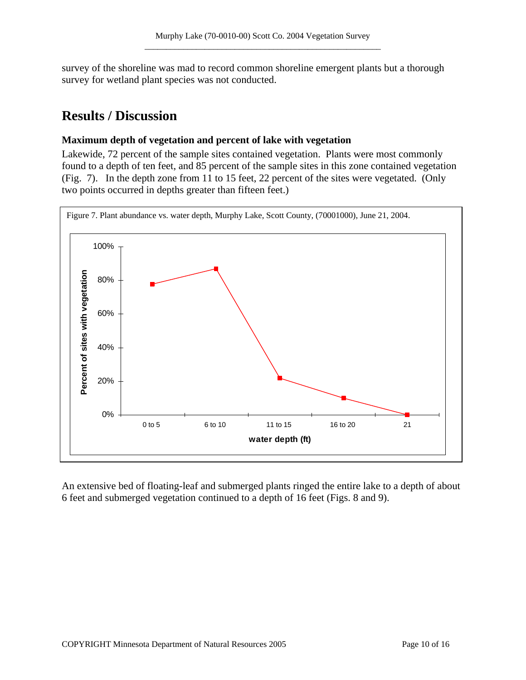survey of the shoreline was mad to record common shoreline emergent plants but a thorough survey for wetland plant species was not conducted.

### **Results / Discussion**

#### **Maximum depth of vegetation and percent of lake with vegetation**

Lakewide, 72 percent of the sample sites contained vegetation. Plants were most commonly found to a depth of ten feet, and 85 percent of the sample sites in this zone contained vegetation (Fig. 7). In the depth zone from 11 to 15 feet, 22 percent of the sites were vegetated. (Only two points occurred in depths greater than fifteen feet.)



An extensive bed of floating-leaf and submerged plants ringed the entire lake to a depth of about 6 feet and submerged vegetation continued to a depth of 16 feet (Figs. 8 and 9).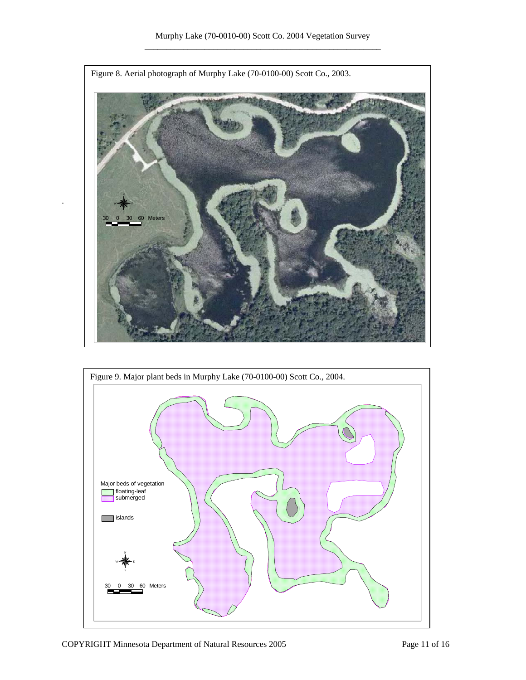

.

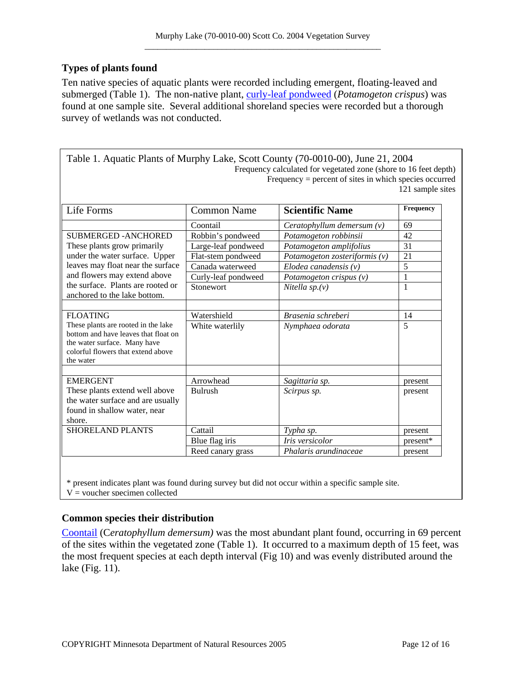### **Types of plants found**

Ten native species of aquatic plants were recorded including emergent, floating-leaved and submerged (Table 1). The non-native plant, [curly-leaf pondweed](http://www.dnr.state.mn.us/aquatic_plants/submerged_plants/curlyleaf_pondweed.html) (*Potamogeton crispus*) was found at one sample site. Several additional shoreland species were recorded but a thorough survey of wetlands was not conducted.

| Table 1. Aquatic Plants of Murphy Lake, Scott County (70-0010-00), June 21, 2004 |
|----------------------------------------------------------------------------------|
| Frequency calculated for vegetated zone (shore to 16 feet depth)                 |
| Frequency $=$ percent of sites in which species occurred                         |
| 121 sample sites                                                                 |
|                                                                                  |

| Life Forms                                                                                                                                                     | <b>Common Name</b>  | <b>Scientific Name</b>          | Frequency |
|----------------------------------------------------------------------------------------------------------------------------------------------------------------|---------------------|---------------------------------|-----------|
|                                                                                                                                                                | Coontail            | Ceratophyllum demersum $(v)$    | 69        |
| <b>SUBMERGED - ANCHORED</b>                                                                                                                                    | Robbin's pondweed   | Potamogeton robbinsii           | 42        |
| These plants grow primarily                                                                                                                                    | Large-leaf pondweed | Potamogeton amplifolius         | 31        |
| under the water surface. Upper                                                                                                                                 | Flat-stem pondweed  | Potamogeton zosteriformis $(v)$ | 21        |
| leaves may float near the surface                                                                                                                              | Canada waterweed    | Elodea canadensis $(v)$         | 5         |
| and flowers may extend above                                                                                                                                   | Curly-leaf pondweed | Potamogeton crispus $(v)$       | 1         |
| the surface. Plants are rooted or<br>anchored to the lake bottom.                                                                                              | Stonewort           | Nitella $sp.(v)$                | 1         |
|                                                                                                                                                                |                     |                                 |           |
| <b>FLOATING</b>                                                                                                                                                | Watershield         | Brasenia schreberi              | 14        |
| These plants are rooted in the lake<br>bottom and have leaves that float on<br>the water surface. Many have<br>colorful flowers that extend above<br>the water | White waterlily     | Nymphaea odorata                | 5         |
| <b>EMERGENT</b>                                                                                                                                                | Arrowhead           | Sagittaria sp.                  | present   |
| These plants extend well above                                                                                                                                 | <b>Bulrush</b>      | Scirpus sp.                     | present   |
| the water surface and are usually                                                                                                                              |                     |                                 |           |
| found in shallow water, near                                                                                                                                   |                     |                                 |           |
| shore.                                                                                                                                                         |                     |                                 |           |
| <b>SHORELAND PLANTS</b>                                                                                                                                        | Cattail             | Typha sp.                       | present   |
|                                                                                                                                                                | Blue flag iris      | Iris versicolor                 | present*  |
|                                                                                                                                                                | Reed canary grass   | Phalaris arundinaceae           | present   |

\* present indicates plant was found during survey but did not occur within a specific sample site.  $V =$  voucher specimen collected

### **Common species their distribution**

[Coontail](http://www.dnr.state.mn.us/aquatic_plants/submerged_plants/coontail.html) (C*eratophyllum demersum)* was the most abundant plant found, occurring in 69 percent of the sites within the vegetated zone (Table 1). It occurred to a maximum depth of 15 feet, was the most frequent species at each depth interval (Fig 10) and was evenly distributed around the lake (Fig. 11).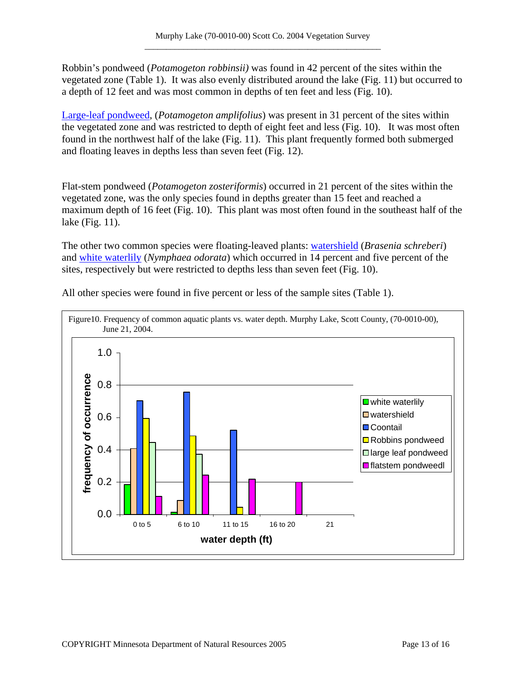Robbin's pondweed (*Potamogeton robbinsii)* was found in 42 percent of the sites within the vegetated zone (Table 1). It was also evenly distributed around the lake (Fig. 11) but occurred to a depth of 12 feet and was most common in depths of ten feet and less (Fig. 10).

[Large-leaf pondweed](http://www.dnr.state.mn.us/aquatic_plants/submerged_plants/broadleaf_pondweeds.html), (*Potamogeton amplifolius*) was present in 31 percent of the sites within the vegetated zone and was restricted to depth of eight feet and less (Fig. 10). It was most often found in the northwest half of the lake (Fig. 11). This plant frequently formed both submerged and floating leaves in depths less than seven feet (Fig. 12).

Flat-stem pondweed (*Potamogeton zosteriformis*) occurred in 21 percent of the sites within the vegetated zone, was the only species found in depths greater than 15 feet and reached a maximum depth of 16 feet (Fig. 10). This plant was most often found in the southeast half of the lake (Fig. 11).

The other two common species were floating-leaved plants: [watershield](http://www.dnr.state.mn.us/aquatic_plants/floatingleaf_plants/watershield.html) (*Brasenia schreberi*) and [white waterlily](http://www.dnr.state.mn.us/aquatic_plants/floatingleaf_plants/white_water_lily.html) (*Nymphaea odorata*) which occurred in 14 percent and five percent of the sites, respectively but were restricted to depths less than seven feet (Fig. 10).



All other species were found in five percent or less of the sample sites (Table 1).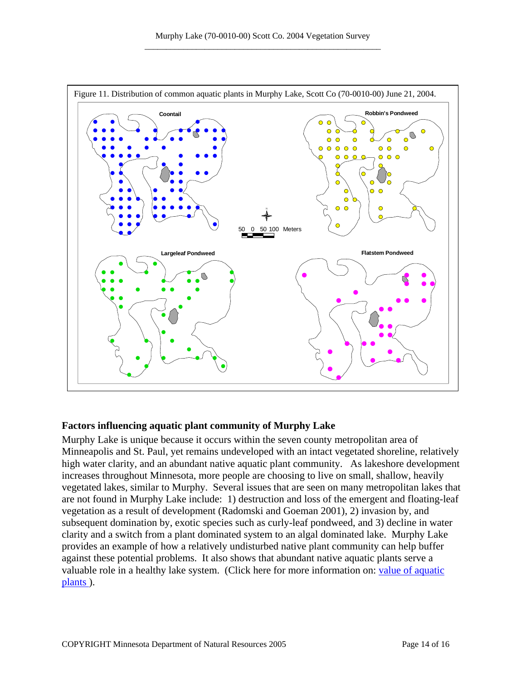

#### **Factors influencing aquatic plant community of Murphy Lake**

Murphy Lake is unique because it occurs within the seven county metropolitan area of Minneapolis and St. Paul, yet remains undeveloped with an intact vegetated shoreline, relatively high water clarity, and an abundant native aquatic plant community. As lakeshore development increases throughout Minnesota, more people are choosing to live on small, shallow, heavily vegetated lakes, similar to Murphy. Several issues that are seen on many metropolitan lakes that are not found in Murphy Lake include: 1) destruction and loss of the emergent and floating-leaf vegetation as a result of development (Radomski and Goeman 2001), 2) invasion by, and subsequent domination by, exotic species such as curly-leaf pondweed, and 3) decline in water clarity and a switch from a plant dominated system to an algal dominated lake. Murphy Lake provides an example of how a relatively undisturbed native plant community can help buffer against these potential problems. It also shows that abundant native aquatic plants serve a valuable role in a healthy lake system. (Click here for more information on: [value of aquatic](http://www.dnr.state.mn.us/shorelandmgmt/apg/value.html)  [plants \)](http://www.dnr.state.mn.us/shorelandmgmt/apg/value.html).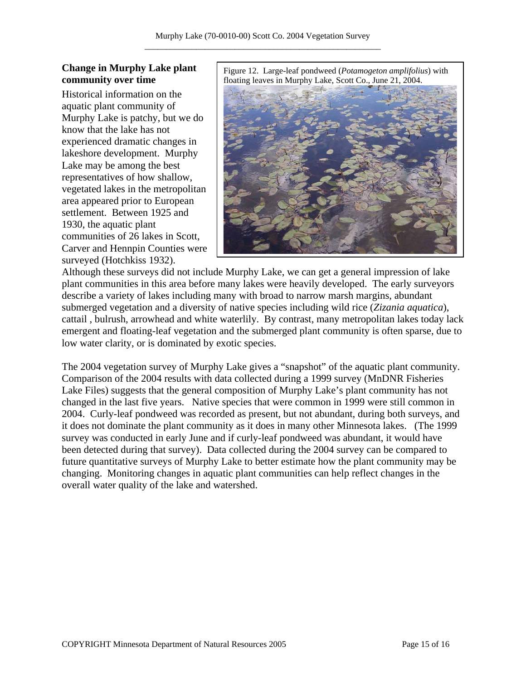### **Change in Murphy Lake plant community over time**

Historical information on the aquatic plant community of Murphy Lake is patchy, but we do know that the lake has not experienced dramatic changes in lakeshore development. Murphy Lake may be among the best representatives of how shallow, vegetated lakes in the metropolitan area appeared prior to European settlement. Between 1925 and 1930, the aquatic plant communities of 26 lakes in Scott, Carver and Hennpin Counties were surveyed (Hotchkiss 1932).

Figure 12. Large-leaf pondweed (*Potamogeton amplifolius*) with floating leaves in Murphy Lake, Scott Co., June 21, 2004.



Although these surveys did not include Murphy Lake, we can get a general impression of lake plant communities in this area before many lakes were heavily developed. The early surveyors describe a variety of lakes including many with broad to narrow marsh margins, abundant submerged vegetation and a diversity of native species including wild rice (*Zizania aquatica*), cattail , bulrush, arrowhead and white waterlily. By contrast, many metropolitan lakes today lack emergent and floating-leaf vegetation and the submerged plant community is often sparse, due to low water clarity, or is dominated by exotic species.

The 2004 vegetation survey of Murphy Lake gives a "snapshot" of the aquatic plant community. Comparison of the 2004 results with data collected during a 1999 survey (MnDNR Fisheries Lake Files) suggests that the general composition of Murphy Lake's plant community has not changed in the last five years. Native species that were common in 1999 were still common in 2004. Curly-leaf pondweed was recorded as present, but not abundant, during both surveys, and it does not dominate the plant community as it does in many other Minnesota lakes. (The 1999 survey was conducted in early June and if curly-leaf pondweed was abundant, it would have been detected during that survey). Data collected during the 2004 survey can be compared to future quantitative surveys of Murphy Lake to better estimate how the plant community may be changing. Monitoring changes in aquatic plant communities can help reflect changes in the overall water quality of the lake and watershed.